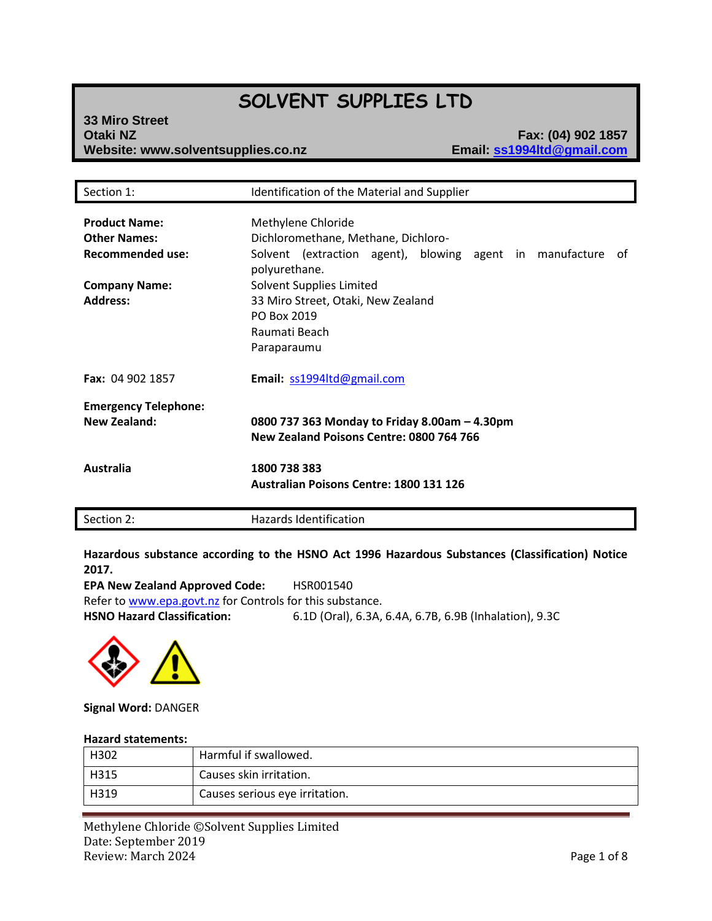# **SOLVENT SUPPLIES LTD**

## **33 Miro Street Otaki NZ Fax: (04) 902 1857 Website: www.solventsupplies.co.nz**

| Section 1:                                                             | Identification of the Material and Supplier                                                                                                  |
|------------------------------------------------------------------------|----------------------------------------------------------------------------------------------------------------------------------------------|
| <b>Product Name:</b><br><b>Other Names:</b><br><b>Recommended use:</b> | Methylene Chloride<br>Dichloromethane, Methane, Dichloro-<br>Solvent (extraction agent), blowing agent in manufacture<br>0t<br>polyurethane. |
| <b>Company Name:</b><br><b>Address:</b>                                | Solvent Supplies Limited<br>33 Miro Street, Otaki, New Zealand<br>PO Box 2019<br>Raumati Beach<br>Paraparaumu                                |
| Fax: 04 902 1857                                                       | Email: ss1994ltd@gmail.com                                                                                                                   |
| <b>Emergency Telephone:</b><br><b>New Zealand:</b>                     | 0800 737 363 Monday to Friday 8.00am - 4.30pm<br>New Zealand Poisons Centre: 0800 764 766                                                    |
| <b>Australia</b>                                                       | 1800 738 383<br>Australian Poisons Centre: 1800 131 126                                                                                      |
| Section 2:                                                             | Hazards Identification                                                                                                                       |

**Hazardous substance according to the HSNO Act 1996 Hazardous Substances (Classification) Notice 2017.**

**EPA New Zealand Approved Code:** HSR001540 Refer t[o www.epa.govt.nz](http://www.epa.govt.nz/) for Controls for this substance. **HSNO Hazard Classification:** 6.1D (Oral), 6.3A, 6.4A, 6.7B, 6.9B (Inhalation), 9.3C



**Signal Word:** DANGER

#### **Hazard statements:**

| H302   | Harmful if swallowed.          |
|--------|--------------------------------|
| l H315 | Causes skin irritation.        |
| H319   | Causes serious eye irritation. |

Methylene Chloride ©Solvent Supplies Limited Date: September 2019 Review: March 2024 **Page 1 of 8**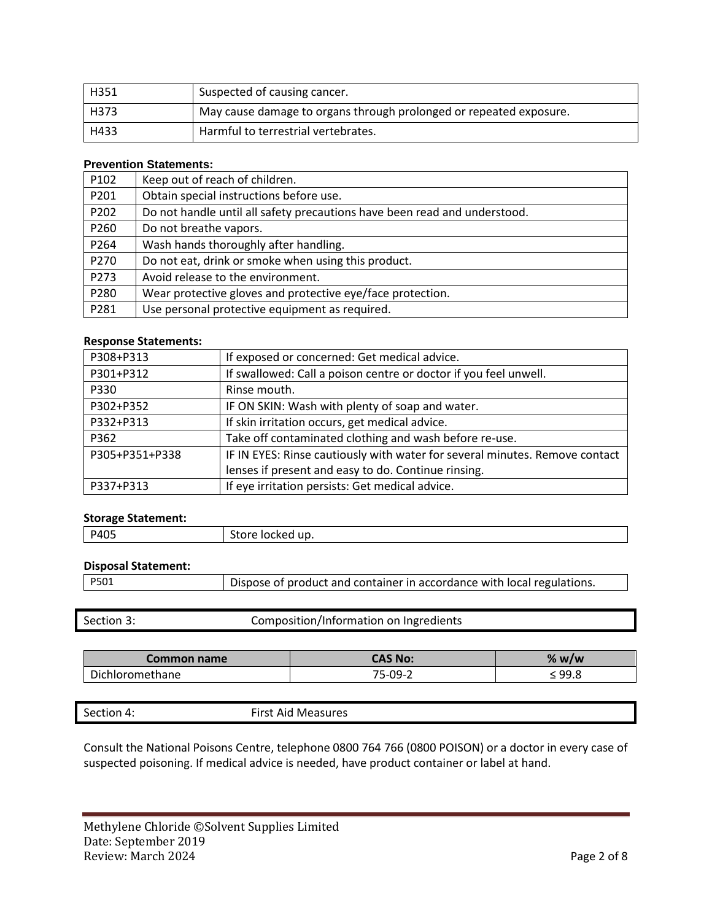| H351 | Suspected of causing cancer.                                       |
|------|--------------------------------------------------------------------|
| H373 | May cause damage to organs through prolonged or repeated exposure. |
| H433 | Harmful to terrestrial vertebrates.                                |

#### **Prevention Statements:**

| P102 | Keep out of reach of children.                                            |
|------|---------------------------------------------------------------------------|
| P201 | Obtain special instructions before use.                                   |
| P202 | Do not handle until all safety precautions have been read and understood. |
| P260 | Do not breathe vapors.                                                    |
| P264 | Wash hands thoroughly after handling.                                     |
| P270 | Do not eat, drink or smoke when using this product.                       |
| P273 | Avoid release to the environment.                                         |
| P280 | Wear protective gloves and protective eye/face protection.                |
| P281 | Use personal protective equipment as required.                            |

#### **Response Statements:**

| P308+P313      | If exposed or concerned: Get medical advice.                                |
|----------------|-----------------------------------------------------------------------------|
| P301+P312      | If swallowed: Call a poison centre or doctor if you feel unwell.            |
| P330           | Rinse mouth.                                                                |
| P302+P352      | IF ON SKIN: Wash with plenty of soap and water.                             |
| P332+P313      | If skin irritation occurs, get medical advice.                              |
| P362           | Take off contaminated clothing and wash before re-use.                      |
| P305+P351+P338 | IF IN EYES: Rinse cautiously with water for several minutes. Remove contact |
|                | lenses if present and easy to do. Continue rinsing.                         |
| P337+P313      | If eye irritation persists: Get medical advice.                             |

# **Storage Statement:**

| <b>PAN</b> | -<br>.<br>лскеа<br>uv.<br>. |
|------------|-----------------------------|
|            |                             |

# **Disposal Statement:**

| P501 | Dispose of product and container in accordance with local regulations. |
|------|------------------------------------------------------------------------|

| Section 3: | Composition/Information on Ingredients |
|------------|----------------------------------------|
|------------|----------------------------------------|

| Common name   | CAS No:             | W/W<br>70 |
|---------------|---------------------|-----------|
| `hloromethane | 75-09- <sup>2</sup> | 99.8<br>- |

| $\sim$<br>Section 4: | First Aid iv.<br>Measures<br>. |
|----------------------|--------------------------------|
|                      |                                |

Consult the National Poisons Centre, telephone 0800 764 766 (0800 POISON) or a doctor in every case of suspected poisoning. If medical advice is needed, have product container or label at hand.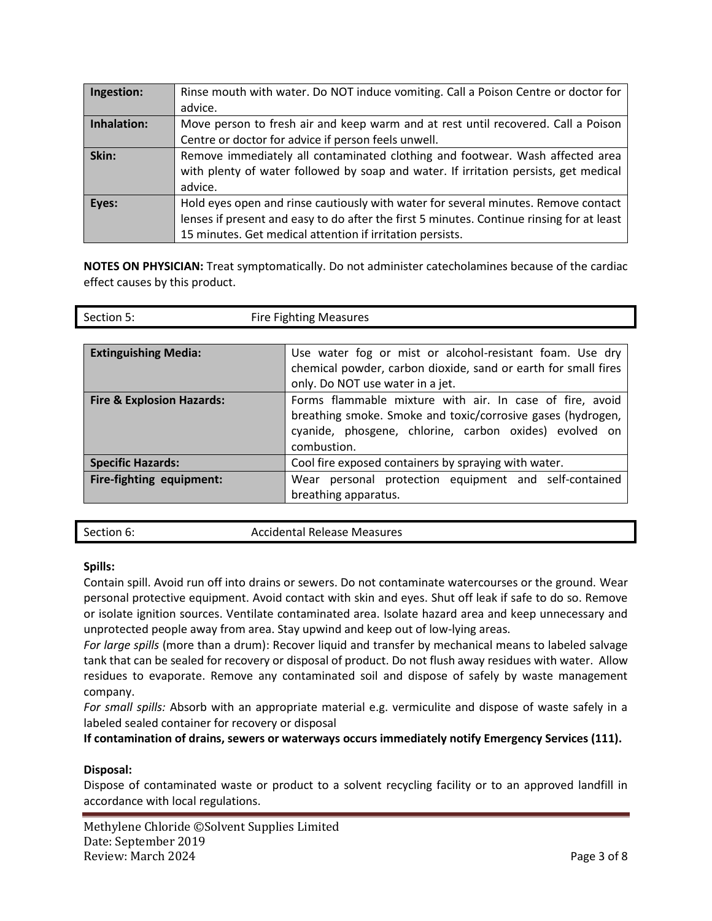| Ingestion:  | Rinse mouth with water. Do NOT induce vomiting. Call a Poison Centre or doctor for        |
|-------------|-------------------------------------------------------------------------------------------|
|             | advice.                                                                                   |
| Inhalation: | Move person to fresh air and keep warm and at rest until recovered. Call a Poison         |
|             | Centre or doctor for advice if person feels unwell.                                       |
| Skin:       | Remove immediately all contaminated clothing and footwear. Wash affected area             |
|             | with plenty of water followed by soap and water. If irritation persists, get medical      |
|             | advice.                                                                                   |
| Eyes:       | Hold eyes open and rinse cautiously with water for several minutes. Remove contact        |
|             | lenses if present and easy to do after the first 5 minutes. Continue rinsing for at least |
|             | 15 minutes. Get medical attention if irritation persists.                                 |

**NOTES ON PHYSICIAN:** Treat symptomatically. Do not administer catecholamines because of the cardiac effect causes by this product.

| Section 5:                           | <b>Fire Fighting Measures</b>                                  |  |
|--------------------------------------|----------------------------------------------------------------|--|
|                                      |                                                                |  |
| <b>Extinguishing Media:</b>          | Use water fog or mist or alcohol-resistant foam. Use dry       |  |
|                                      | chemical powder, carbon dioxide, sand or earth for small fires |  |
|                                      | only. Do NOT use water in a jet.                               |  |
| <b>Fire &amp; Explosion Hazards:</b> | Forms flammable mixture with air. In case of fire, avoid       |  |
|                                      | breathing smoke. Smoke and toxic/corrosive gases (hydrogen,    |  |
|                                      | cyanide, phosgene, chlorine, carbon oxides) evolved on         |  |
|                                      | combustion.                                                    |  |
| <b>Specific Hazards:</b>             | Cool fire exposed containers by spraying with water.           |  |
| Fire-fighting equipment:             | Wear personal protection equipment and self-contained          |  |
|                                      | breathing apparatus.                                           |  |

| Section 6: | <b>Accidental Release Measures</b> |
|------------|------------------------------------|
|            |                                    |

### **Spills:**

Contain spill. Avoid run off into drains or sewers. Do not contaminate watercourses or the ground. Wear personal protective equipment. Avoid contact with skin and eyes. Shut off leak if safe to do so. Remove or isolate ignition sources. Ventilate contaminated area. Isolate hazard area and keep unnecessary and unprotected people away from area. Stay upwind and keep out of low-lying areas.

*For large spills* (more than a drum): Recover liquid and transfer by mechanical means to labeled salvage tank that can be sealed for recovery or disposal of product. Do not flush away residues with water. Allow residues to evaporate. Remove any contaminated soil and dispose of safely by waste management company.

*For small spills:* Absorb with an appropriate material e.g. vermiculite and dispose of waste safely in a labeled sealed container for recovery or disposal

**If contamination of drains, sewers or waterways occurs immediately notify Emergency Services (111).**

### **Disposal:**

Dispose of contaminated waste or product to a solvent recycling facility or to an approved landfill in accordance with local regulations.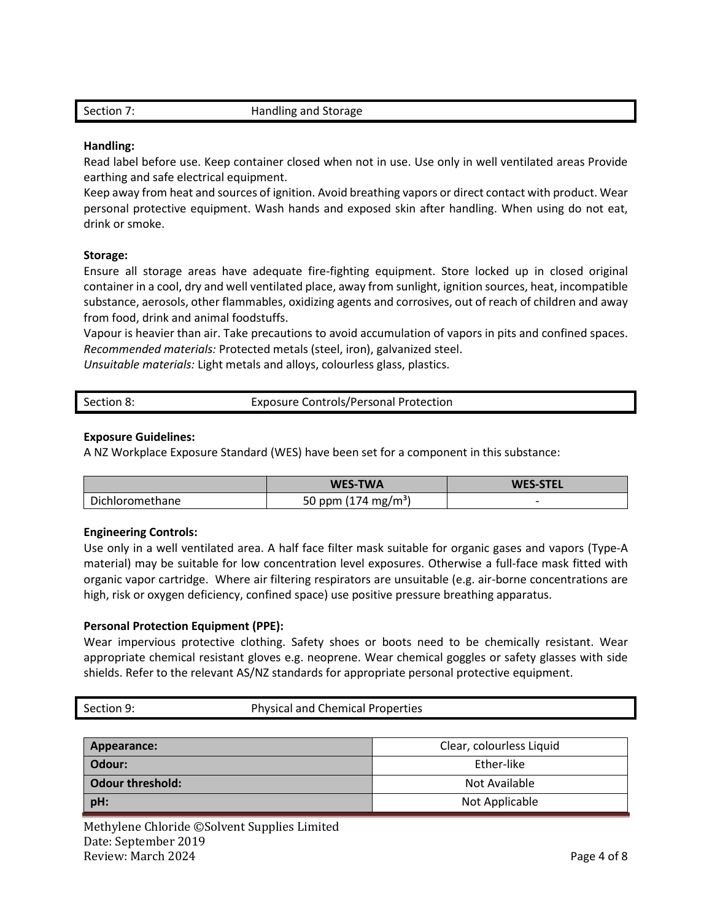| Section 7: | Handling and Storage |
|------------|----------------------|
|            |                      |

#### **Handling:**

Read label before use. Keep container closed when not in use. Use only in well ventilated areas Provide earthing and safe electrical equipment.

Keep away from heat and sources of ignition. Avoid breathing vapors or direct contact with product. Wear personal protective equipment. Wash hands and exposed skin after handling. When using do not eat, drink or smoke.

#### **Storage:**

Ensure all storage areas have adequate fire-fighting equipment. Store locked up in closed original container in a cool, dry and well ventilated place, away from sunlight, ignition sources, heat, incompatible substance, aerosols, other flammables, oxidizing agents and corrosives, out of reach of children and away from food, drink and animal foodstuffs.

Vapour is heavier than air. Take precautions to avoid accumulation of vapors in pits and confined spaces. *Recommended materials:* Protected metals (steel, iron), galvanized steel.

*Unsuitable materials:* Light metals and alloys, colourless glass, plastics.

| Section 8: | <b>Exposure Controls/Personal Protection</b> |
|------------|----------------------------------------------|
|            |                                              |

#### **Exposure Guidelines:**

A NZ Workplace Exposure Standard (WES) have been set for a component in this substance:

|                 | <b>WES-TWA</b>                  | <b>WES-STEL</b>          |
|-----------------|---------------------------------|--------------------------|
| Dichloromethane | 50 ppm (174 mg/m <sup>3</sup> ) | $\overline{\phantom{0}}$ |

#### **Engineering Controls:**

Use only in a well ventilated area. A half face filter mask suitable for organic gases and vapors (Type-A material) may be suitable for low concentration level exposures. Otherwise a full-face mask fitted with organic vapor cartridge. Where air filtering respirators are unsuitable (e.g. air-borne concentrations are high, risk or oxygen deficiency, confined space) use positive pressure breathing apparatus.

### **Personal Protection Equipment (PPE):**

Wear impervious protective clothing. Safety shoes or boots need to be chemically resistant. Wear appropriate chemical resistant gloves e.g. neoprene. Wear chemical goggles or safety glasses with side shields. Refer to the relevant AS/NZ standards for appropriate personal protective equipment.

| Section 9: | <b>Physical and Chemical Properties</b> |  |
|------------|-----------------------------------------|--|
|------------|-----------------------------------------|--|

| Appearance:             | Clear, colourless Liquid |
|-------------------------|--------------------------|
| Odour:                  | Ether-like               |
| <b>Odour threshold:</b> | Not Available            |
| pH:                     | Not Applicable           |

Methylene Chloride ©Solvent Supplies Limited Date: September 2019 Review: March 2024 **Page 4 of 8**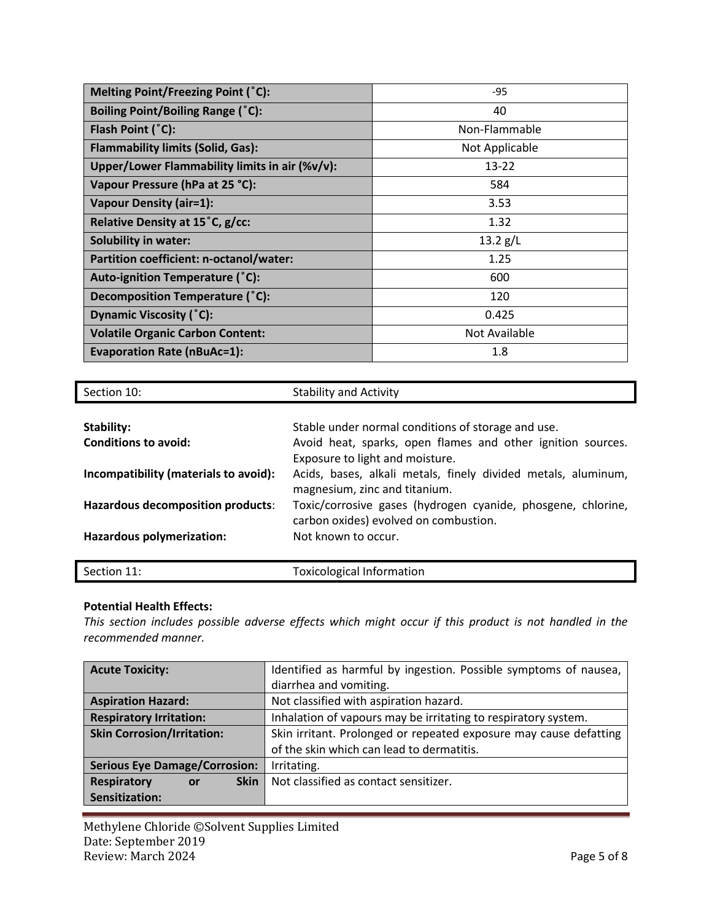| Melting Point/Freezing Point (°C):             | $-95$          |
|------------------------------------------------|----------------|
| Boiling Point/Boiling Range (°C):              | 40             |
| Flash Point (°C):                              | Non-Flammable  |
| <b>Flammability limits (Solid, Gas):</b>       | Not Applicable |
| Upper/Lower Flammability limits in air (%v/v): | $13 - 22$      |
| Vapour Pressure (hPa at 25 °C):                | 584            |
| <b>Vapour Density (air=1):</b>                 | 3.53           |
| Relative Density at 15°C, g/cc:                | 1.32           |
| <b>Solubility in water:</b>                    | 13.2 g/L       |
| Partition coefficient: n-octanol/water:        | 1.25           |
| Auto-ignition Temperature (°C):                | 600            |
| Decomposition Temperature (°C):                | 120            |
| <b>Dynamic Viscosity (°C):</b>                 | 0.425          |
| <b>Volatile Organic Carbon Content:</b>        | Not Available  |
| <b>Evaporation Rate (nBuAc=1):</b>             | 1.8            |

| Section 10:                           | <b>Stability and Activity</b>                                 |
|---------------------------------------|---------------------------------------------------------------|
|                                       |                                                               |
| Stability:                            | Stable under normal conditions of storage and use.            |
| Conditions to avoid:                  | Avoid heat, sparks, open flames and other ignition sources.   |
|                                       | Exposure to light and moisture.                               |
| Incompatibility (materials to avoid): | Acids, bases, alkali metals, finely divided metals, aluminum, |
|                                       | magnesium, zinc and titanium.                                 |
| Hazardous decomposition products:     | Toxic/corrosive gases (hydrogen cyanide, phosgene, chlorine,  |
|                                       | carbon oxides) evolved on combustion.                         |
| Hazardous polymerization:             | Not known to occur.                                           |
|                                       |                                                               |
| Section 11:                           | <b>Toxicological Information</b>                              |

### **Potential Health Effects:**

*This section includes possible adverse effects which might occur if this product is not handled in the recommended manner.*

| <b>Acute Toxicity:</b>                  | Identified as harmful by ingestion. Possible symptoms of nausea,  |
|-----------------------------------------|-------------------------------------------------------------------|
|                                         | diarrhea and vomiting.                                            |
| <b>Aspiration Hazard:</b>               | Not classified with aspiration hazard.                            |
| <b>Respiratory Irritation:</b>          | Inhalation of vapours may be irritating to respiratory system.    |
| <b>Skin Corrosion/Irritation:</b>       | Skin irritant. Prolonged or repeated exposure may cause defatting |
|                                         | of the skin which can lead to dermatitis.                         |
| <b>Serious Eye Damage/Corrosion:</b>    | Irritating.                                                       |
| <b>Respiratory</b><br><b>Skin</b><br>or | Not classified as contact sensitizer.                             |
| Sensitization:                          |                                                                   |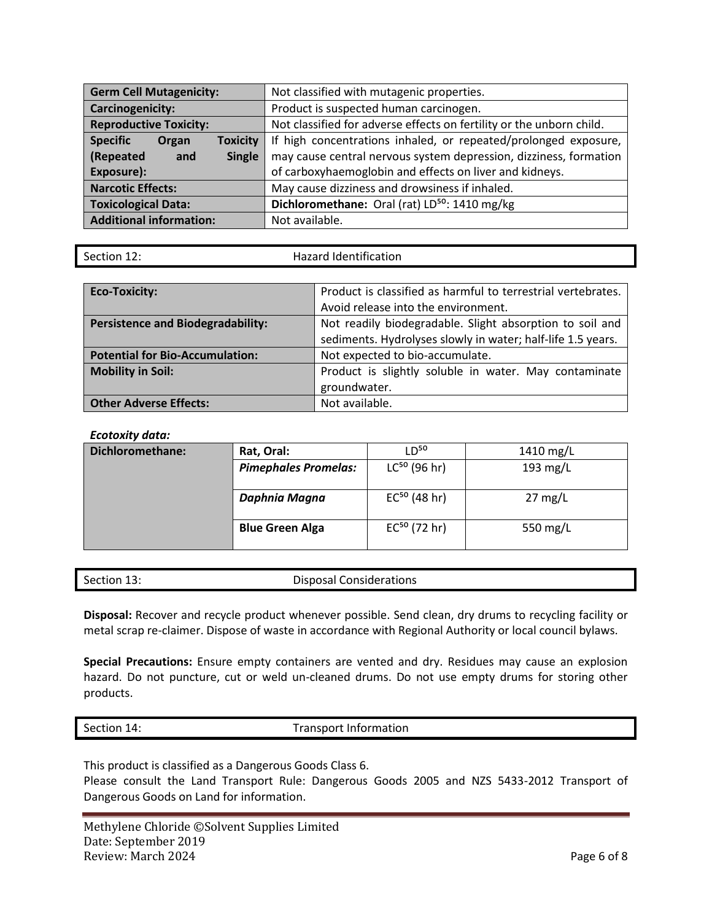| <b>Germ Cell Mutagenicity:</b>              | Not classified with mutagenic properties.                            |  |
|---------------------------------------------|----------------------------------------------------------------------|--|
| Carcinogenicity:                            | Product is suspected human carcinogen.                               |  |
| <b>Reproductive Toxicity:</b>               | Not classified for adverse effects on fertility or the unborn child. |  |
| <b>Specific</b><br><b>Toxicity</b><br>Organ | If high concentrations inhaled, or repeated/prolonged exposure,      |  |
| (Repeated<br>Single<br>and                  | may cause central nervous system depression, dizziness, formation    |  |
| Exposure):                                  | of carboxyhaemoglobin and effects on liver and kidneys.              |  |
| <b>Narcotic Effects:</b>                    | May cause dizziness and drowsiness if inhaled.                       |  |
| <b>Toxicological Data:</b>                  | Dichloromethane: Oral (rat) LD <sup>50</sup> : 1410 mg/kg            |  |
| <b>Additional information:</b>              | Not available.                                                       |  |

| Section 12: |  |
|-------------|--|

Hazard Identification

| <b>Eco-Toxicity:</b>                     | Product is classified as harmful to terrestrial vertebrates. |  |
|------------------------------------------|--------------------------------------------------------------|--|
|                                          | Avoid release into the environment.                          |  |
| <b>Persistence and Biodegradability:</b> | Not readily biodegradable. Slight absorption to soil and     |  |
|                                          | sediments. Hydrolyses slowly in water; half-life 1.5 years.  |  |
| <b>Potential for Bio-Accumulation:</b>   | Not expected to bio-accumulate.                              |  |
| <b>Mobility in Soil:</b>                 | Product is slightly soluble in water. May contaminate        |  |
|                                          | groundwater.                                                 |  |
| <b>Other Adverse Effects:</b>            | Not available.                                               |  |

### *Ecotoxity data:*

| Dichloromethane: | Rat, Oral:                  | $D^{50}$          | 1410 mg/L         |
|------------------|-----------------------------|-------------------|-------------------|
|                  | <b>Pimephales Promelas:</b> | $LC^{50}$ (96 hr) | 193 mg/L          |
|                  | Daphnia Magna               | $EC^{50}$ (48 hr) | $27 \text{ mg/L}$ |
|                  | <b>Blue Green Alga</b>      | $EC^{50}$ (72 hr) | 550 mg/L          |

## Section 13: Disposal Considerations

**Disposal:** Recover and recycle product whenever possible. Send clean, dry drums to recycling facility or metal scrap re-claimer. Dispose of waste in accordance with Regional Authority or local council bylaws.

**Special Precautions:** Ensure empty containers are vented and dry. Residues may cause an explosion hazard. Do not puncture, cut or weld un-cleaned drums. Do not use empty drums for storing other products.

Section 14: Transport Information

This product is classified as a Dangerous Goods Class 6. Please consult the Land Transport Rule: Dangerous Goods 2005 and NZS 5433-2012 Transport of Dangerous Goods on Land for information.

Methylene Chloride ©Solvent Supplies Limited Date: September 2019 Review: March 2024 **Page 6 of 8**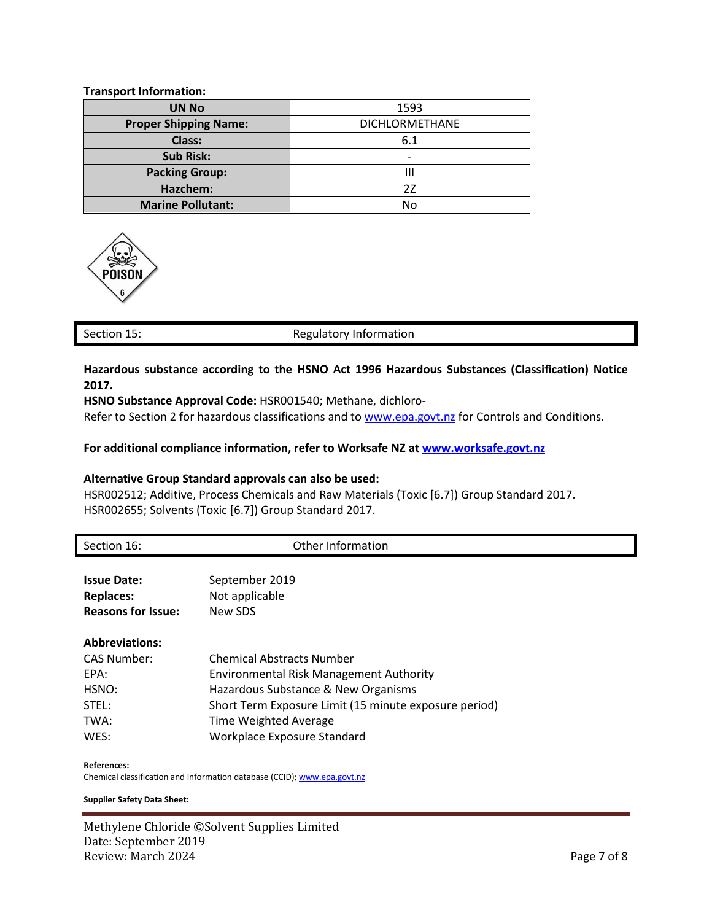#### **Transport Information:**

| <b>UN No</b>                 | 1593                  |  |
|------------------------------|-----------------------|--|
| <b>Proper Shipping Name:</b> | <b>DICHLORMETHANE</b> |  |
| Class:                       | 6.1                   |  |
| <b>Sub Risk:</b>             | $\overline{a}$        |  |
| <b>Packing Group:</b>        | Ш                     |  |
| Hazchem:                     | 27                    |  |
| <b>Marine Pollutant:</b>     | No                    |  |



#### Section 15: Section 15: Regulatory Information

## **Hazardous substance according to the HSNO Act 1996 Hazardous Substances (Classification) Notice 2017.**

**HSNO Substance Approval Code:** HSR001540; Methane, dichloro-

Refer to Section 2 for hazardous classifications and t[o www.epa.govt.nz](http://www.epa.govt.nz/) for Controls and Conditions.

#### **For additional compliance information, refer to Worksafe NZ at [www.worksafe.govt.nz](http://www.worksafe.govt.nz/)**

#### **Alternative Group Standard approvals can also be used:**

HSR002512; Additive, Process Chemicals and Raw Materials (Toxic [6.7]) Group Standard 2017. HSR002655; Solvents (Toxic [6.7]) Group Standard 2017.

| Section 16:               | Other Information                                     |
|---------------------------|-------------------------------------------------------|
|                           |                                                       |
| <b>Issue Date:</b>        | September 2019                                        |
| <b>Replaces:</b>          | Not applicable                                        |
| <b>Reasons for Issue:</b> | New SDS                                               |
| <b>Abbreviations:</b>     |                                                       |
| <b>CAS Number:</b>        | <b>Chemical Abstracts Number</b>                      |
| EPA:                      | <b>Environmental Risk Management Authority</b>        |
| HSNO:                     | Hazardous Substance & New Organisms                   |
| STEL:                     | Short Term Exposure Limit (15 minute exposure period) |
| TWA:                      | Time Weighted Average                                 |
| WES:                      | Workplace Exposure Standard                           |
| <b>References:</b>        |                                                       |

Chemical classification and information database (CCID)[; www.epa.govt.nz](http://www.epa.govt.nz/)

#### **Supplier Safety Data Sheet:**

Methylene Chloride ©Solvent Supplies Limited Date: September 2019 Review: March 2024 **Page 7 of 8**